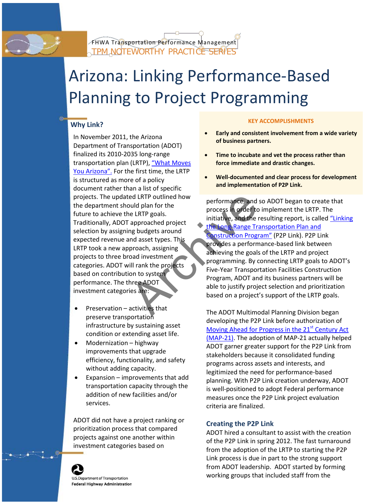

# Arizona: Linking Performance-Based Planning to Project Programming

## **KEY ACCOMPLISHMENTS Why Link?**

EXERIP outlined how<br>
build plan for the<br>
initiative, and the rest in order to immediate and the rest<br>
initiative, and the rest<br>
mg budgets around<br>
and asset types. This<br>
proach, assigning<br>
based investment<br>
ill rank the pr In November 2011, the Arizona **of Early and consistent involvement from a wide variety**<br>Department of Transportation (ADOT) **of business partners.** finalized its 2010-2035 long-range **• Time to incubate and vet the process rather than** transportation plan (LRTP), ["What Moves](https://www.azdot.gov/docs/default-source/planning/lrtp-2011-1129.pdf?sfvrsn=4) **force immediate and drastic changes.** [You Arizona".](https://www.azdot.gov/docs/default-source/planning/lrtp-2011-1129.pdf?sfvrsn=4) For the first time, the LRTP • is structured as more of a policy **Well-documented and clear process for development**  document rather than a list of specific

- 
- 
- 

- 
- 

projects. The updated LRTP outlined how<br>the department should plan for the<br>future to achieve the LRTP goals.<br>Traditionally, ADOT approached project<br>selection by assigning budgets around<br>expected revenue and asset types. Th ERTP took a new approach, assigning<br>projects to three broad investment<br>categories. ADOT will rank the projects<br>based on contribution to system<br>performance. The three ADOT<br>investment categories are:<br>investment categories ar

Preservation – activities that<br>
preserve transportation<br>
infrastructure by sustaining asset<br>
condition or extending asset life.<br>  $\frac{Moving Ahead for Progress in the 21<sup>st</sup> Century Act  
(1) and 21<sup>st</sup> Century Act$ extending asset life. [\(MAP-21\).](http://www.fhwa.dot.gov/map21/) The adoption of MAP-21 actually helped<br>Modernization – highway ADOT garner greater support for the P2P Link from<br>improvements that upgrade the exerce is consolidated funding improvements that upgrade<br>
efficiency, functionality, and safety<br>
without adding capacity.<br>
Expansion – improvements that add<br>
transportation capacity through the<br>
addition of new facilities and/or<br>
services.<br>
Expansion –

ADOT did not have a project ranking or<br>
prioritization process that compared<br>
projects against one another within<br>
investment categories based on<br>
from the adoption of the LRTP to starting the P2P<br>
From the adoption of the Link process is due in part to the strong support from ADOT leadership. ADOT started by forming working groups that included staff from the

**U.S.Department of Transportation Federal Highway Administration**